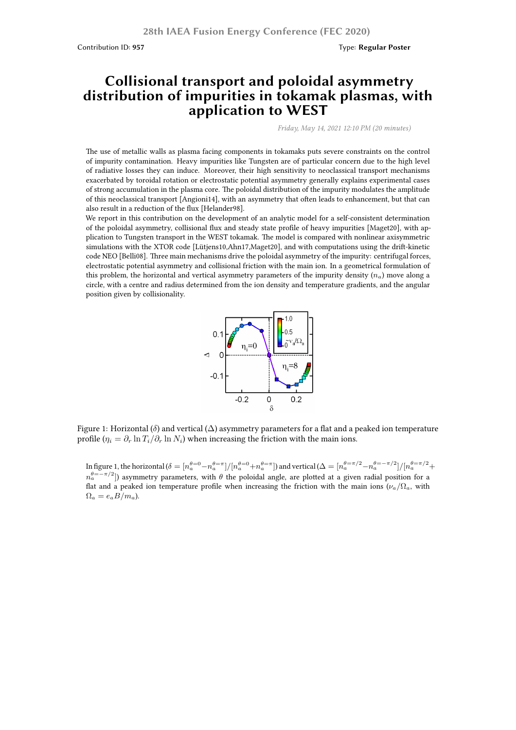Contribution ID: **957** Type: **Regular Poster**

## **Collisional transport and poloidal asymmetry distribution of impurities in tokamak plasmas, with application to WEST**

*Friday, May 14, 2021 12:10 PM (20 minutes)*

The use of metallic walls as plasma facing components in tokamaks puts severe constraints on the control of impurity contamination. Heavy impurities like Tungsten are of particular concern due to the high level of radiative losses they can induce. Moreover, their high sensitivity to neoclassical transport mechanisms exacerbated by toroidal rotation or electrostatic potential asymmetry generally explains experimental cases of strong accumulation in the plasma core. The poloidal distribution of the impurity modulates the amplitude of this neoclassical transport [Angioni14], with an asymmetry that often leads to enhancement, but that can also result in a reduction of the flux [Helander98].

We report in this contribution on the development of an analytic model for a self-consistent determination of the poloidal asymmetry, collisional flux and steady state profile of heavy impurities [Maget20], with application to Tungsten transport in the WEST tokamak. The model is compared with nonlinear axisymmetric simulations with the XTOR code [Lütjens10,Ahn17,Maget20], and with computations using the drift-kinetic code NEO [Belli08]. Three main mechanisms drive the poloidal asymmetry of the impurity: centrifugal forces, electrostatic potential asymmetry and collisional friction with the main ion. In a geometrical formulation of this problem, the horizontal and vertical asymmetry parameters of the impurity density  $(n_a)$  move along a circle, with a centre and radius determined from the ion density and temperature gradients, and the angular position given by collisionality.



Figure 1: Horizontal (*δ*) and vertical (∆) asymmetry parameters for a flat and a peaked ion temperature profile  $(\eta_i = \partial_r \ln T_i / \partial_r \ln N_i)$  when increasing the friction with the main ions.

In figure 1, the horizontal  $(\delta=[n_a^{\theta=0}-n_a^{\theta=\pi}]/[n_a^{\theta=0}+n_a^{\theta=\pi}]$  and vertical  $(\Delta=[n_a^{\theta=\pi/2}-n_a^{\theta=-\pi/2}]/[n_a^{\theta=\pi/2}+n_a^{\theta=\pi/2}]$ *n θ*=*−π*/2 *<sup>a</sup>* ]) asymmetry parameters, with *θ* the poloidal angle, are plotted at a given radial position for a flat and a peaked ion temperature profile when increasing the friction with the main ions ( $\nu_a/\Omega_a$ , with  $\Omega_a = e_a B / m_a$ ).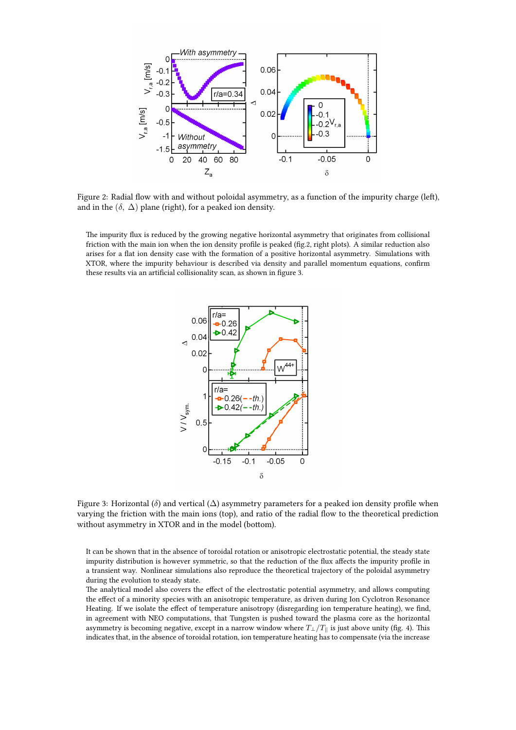

Figure 2: Radial flow with and without poloidal asymmetry, as a function of the impurity charge (left), and in the  $(\delta, \Delta)$  plane (right), for a peaked ion density.

The impurity flux is reduced by the growing negative horizontal asymmetry that originates from collisional friction with the main ion when the ion density profile is peaked (fig.2, right plots). A similar reduction also arises for a flat ion density case with the formation of a positive horizontal asymmetry. Simulations with XTOR, where the impurity behaviour is described via density and parallel momentum equations, confirm these results via an artificial collisionality scan, as shown in figure 3.



Figure 3: Horizontal ( $\delta$ ) and vertical ( $\Delta$ ) asymmetry parameters for a peaked ion density profile when varying the friction with the main ions (top), and ratio of the radial flow to the theoretical prediction without asymmetry in XTOR and in the model (bottom).

It can be shown that in the absence of toroidal rotation or anisotropic electrostatic potential, the steady state impurity distribution is however symmetric, so that the reduction of the flux affects the impurity profile in a transient way. Nonlinear simulations also reproduce the theoretical trajectory of the poloidal asymmetry during the evolution to steady state.

The analytical model also covers the effect of the electrostatic potential asymmetry, and allows computing the effect of a minority species with an anisotropic temperature, as driven during Ion Cyclotron Resonance Heating. If we isolate the effect of temperature anisotropy (disregarding ion temperature heating), we find, in agreement with NEO computations, that Tungsten is pushed toward the plasma core as the horizontal asymmetry is becoming negative, except in a narrow window where  $T_{\perp}/T_{\parallel}$  is just above unity (fig. 4). This indicates that, in the absence of toroidal rotation, ion temperature heating has to compensate (via the increase